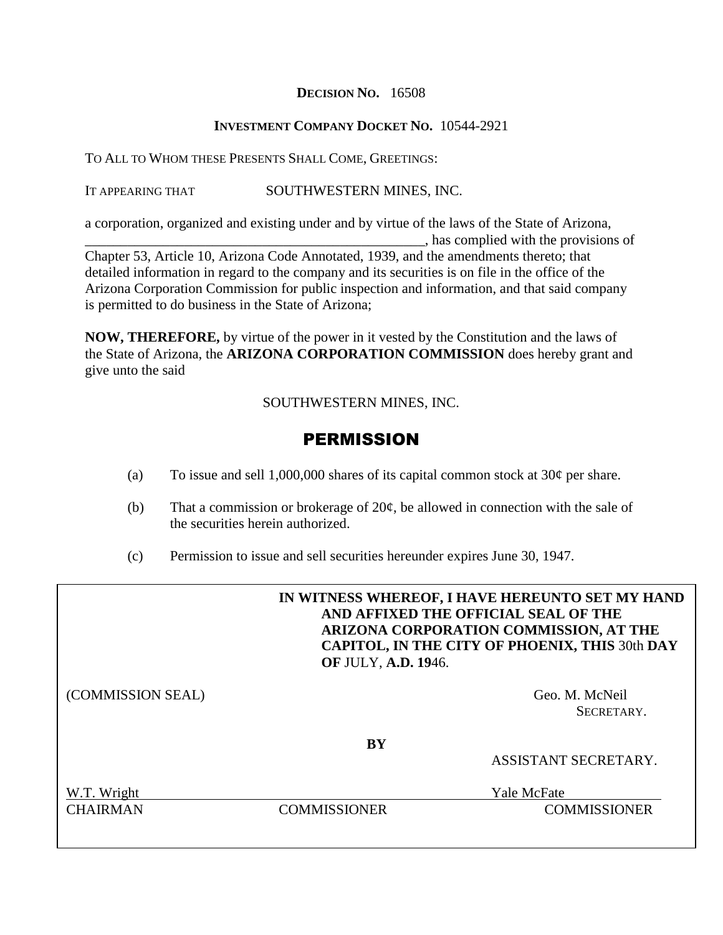## **DECISION NO.** 16508

## **INVESTMENT COMPANY DOCKET NO.** 10544-2921

TO ALL TO WHOM THESE PRESENTS SHALL COME, GREETINGS:

IT APPEARING THAT SOUTHWESTERN MINES, INC.

a corporation, organized and existing under and by virtue of the laws of the State of Arizona,  $\Box$ , has complied with the provisions of Chapter 53, Article 10, Arizona Code Annotated, 1939, and the amendments thereto; that detailed information in regard to the company and its securities is on file in the office of the Arizona Corporation Commission for public inspection and information, and that said company is permitted to do business in the State of Arizona;

**NOW, THEREFORE,** by virtue of the power in it vested by the Constitution and the laws of the State of Arizona, the **ARIZONA CORPORATION COMMISSION** does hereby grant and give unto the said

SOUTHWESTERN MINES, INC.

# PERMISSION

- (a) To issue and sell  $1,000,000$  shares of its capital common stock at  $30¢$  per share.
- (b) That a commission or brokerage of  $20¢$ , be allowed in connection with the sale of the securities herein authorized.
- (c) Permission to issue and sell securities hereunder expires June 30, 1947.

| IN WITNESS WHEREOF, I HAVE HEREUNTO SET MY HAND       |
|-------------------------------------------------------|
| AND AFFIXED THE OFFICIAL SEAL OF THE                  |
| ARIZONA CORPORATION COMMISSION, AT THE                |
| <b>CAPITOL, IN THE CITY OF PHOENIX, THIS 30th DAY</b> |
| <b>OF JULY, A.D. 1946.</b>                            |

(COMMISSION SEAL) Geo. M. McNeil

SECRETARY.

**BY**

ASSISTANT SECRETARY.

CHAIRMAN COMMISSIONER COMMISSIONER

W.T. Wright Yale McFate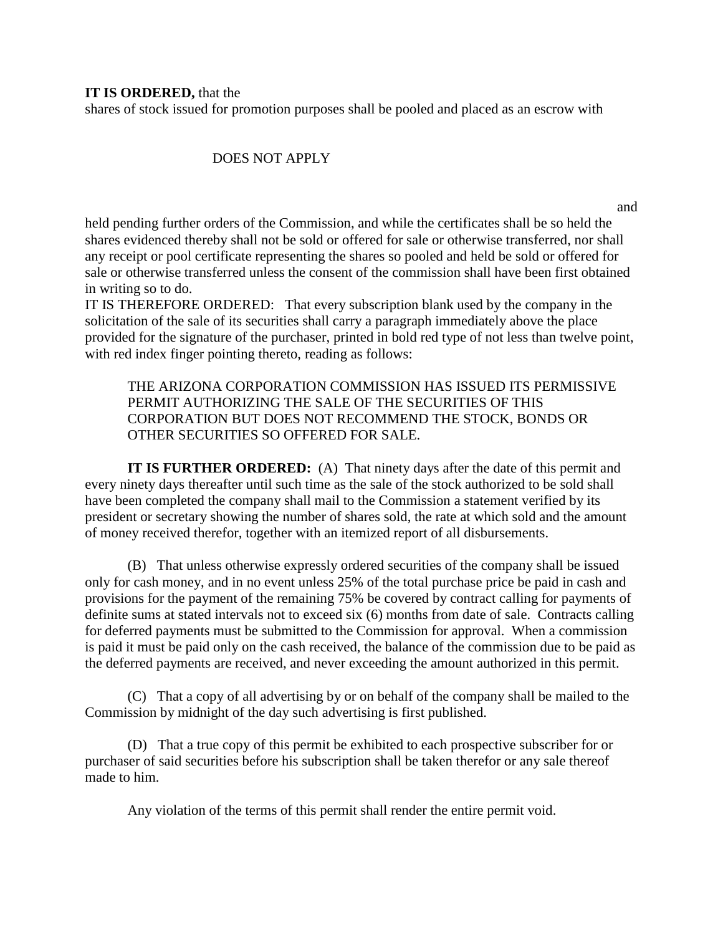#### **IT IS ORDERED,** that the

shares of stock issued for promotion purposes shall be pooled and placed as an escrow with

## DOES NOT APPLY

held pending further orders of the Commission, and while the certificates shall be so held the shares evidenced thereby shall not be sold or offered for sale or otherwise transferred, nor shall any receipt or pool certificate representing the shares so pooled and held be sold or offered for sale or otherwise transferred unless the consent of the commission shall have been first obtained in writing so to do.

IT IS THEREFORE ORDERED: That every subscription blank used by the company in the solicitation of the sale of its securities shall carry a paragraph immediately above the place provided for the signature of the purchaser, printed in bold red type of not less than twelve point, with red index finger pointing thereto, reading as follows:

THE ARIZONA CORPORATION COMMISSION HAS ISSUED ITS PERMISSIVE PERMIT AUTHORIZING THE SALE OF THE SECURITIES OF THIS CORPORATION BUT DOES NOT RECOMMEND THE STOCK, BONDS OR OTHER SECURITIES SO OFFERED FOR SALE.

**IT IS FURTHER ORDERED:** (A) That ninety days after the date of this permit and every ninety days thereafter until such time as the sale of the stock authorized to be sold shall have been completed the company shall mail to the Commission a statement verified by its president or secretary showing the number of shares sold, the rate at which sold and the amount of money received therefor, together with an itemized report of all disbursements.

(B) That unless otherwise expressly ordered securities of the company shall be issued only for cash money, and in no event unless 25% of the total purchase price be paid in cash and provisions for the payment of the remaining 75% be covered by contract calling for payments of definite sums at stated intervals not to exceed six (6) months from date of sale. Contracts calling for deferred payments must be submitted to the Commission for approval. When a commission is paid it must be paid only on the cash received, the balance of the commission due to be paid as the deferred payments are received, and never exceeding the amount authorized in this permit.

(C) That a copy of all advertising by or on behalf of the company shall be mailed to the Commission by midnight of the day such advertising is first published.

(D) That a true copy of this permit be exhibited to each prospective subscriber for or purchaser of said securities before his subscription shall be taken therefor or any sale thereof made to him.

Any violation of the terms of this permit shall render the entire permit void.

and